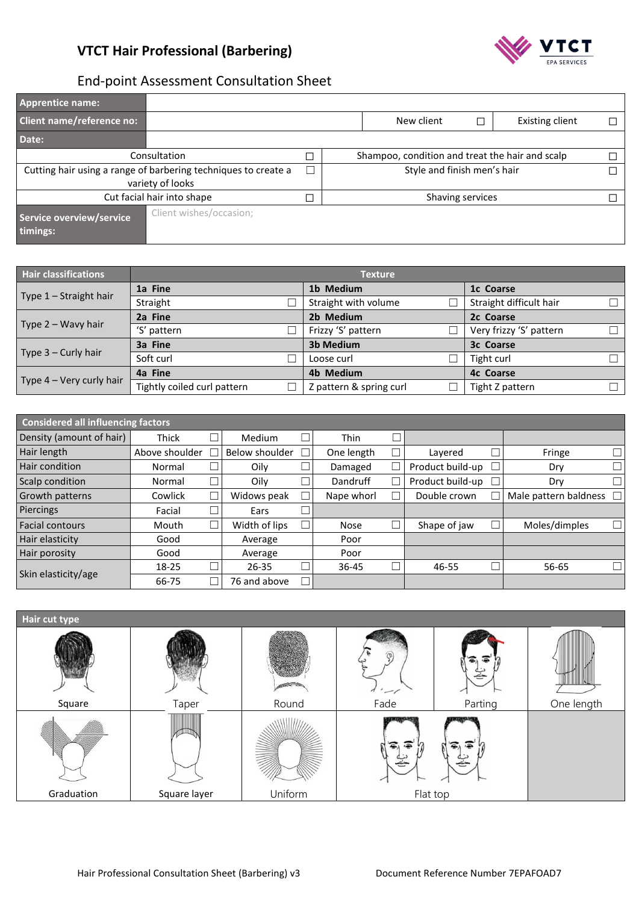

# End-point Assessment Consultation Sheet

| <b>Apprentice name:</b>              |                                                                                    |                                                 |                             |                  |                        |   |  |  |
|--------------------------------------|------------------------------------------------------------------------------------|-------------------------------------------------|-----------------------------|------------------|------------------------|---|--|--|
| <b>Client name/reference no:</b>     |                                                                                    |                                                 | New client                  |                  | <b>Existing client</b> |   |  |  |
| Date:                                |                                                                                    |                                                 |                             |                  |                        |   |  |  |
| Consultation                         | □                                                                                  | Shampoo, condition and treat the hair and scalp |                             |                  |                        |   |  |  |
|                                      | Cutting hair using a range of barbering techniques to create a<br>variety of looks | Г                                               | Style and finish men's hair |                  |                        | П |  |  |
|                                      | Cut facial hair into shape                                                         | Ξ                                               |                             | Shaving services |                        |   |  |  |
| Service overview/service<br>timings: | Client wishes/occasion;                                                            |                                                 |                             |                  |                        |   |  |  |

| <b>Hair classifications</b> | <b>Texture</b>              |                         |                         |  |  |  |  |  |
|-----------------------------|-----------------------------|-------------------------|-------------------------|--|--|--|--|--|
|                             | 1a Fine                     | 1b Medium               | 1c Coarse               |  |  |  |  |  |
| Type 1 - Straight hair      | Straight                    | Straight with volume    | Straight difficult hair |  |  |  |  |  |
|                             | 2a Fine                     | 2b Medium               | 2c Coarse               |  |  |  |  |  |
| Type $2 - W$ avy hair       | 'S' pattern                 | Frizzy 'S' pattern      | Very frizzy 'S' pattern |  |  |  |  |  |
|                             | 3a Fine                     | <b>3b Medium</b>        | 3c Coarse               |  |  |  |  |  |
| Type $3$ – Curly hair       | Soft curl                   | Loose curl              | Tight curl              |  |  |  |  |  |
|                             | 4a Fine                     | 4b Medium               | <b>4c Coarse</b>        |  |  |  |  |  |
| Type $4 -$ Very curly hair  | Tightly coiled curl pattern | Z pattern & spring curl | Tight Z pattern         |  |  |  |  |  |

| <b>Considered all influencing factors</b> |                |        |                |             |                  |                         |  |
|-------------------------------------------|----------------|--------|----------------|-------------|------------------|-------------------------|--|
| Density (amount of hair)                  | <b>Thick</b>   |        | Medium         | <b>Thin</b> |                  |                         |  |
| Hair length                               | Above shoulder |        | Below shoulder | One length  | Lavered          | Fringe                  |  |
| Hair condition                            | Normal         | ⊐      | Oilv           | Damaged     | Product build-up | Dry                     |  |
| Scalp condition                           | Normal         | $\Box$ | Oilv           | Dandruff    | Product build-up | Dry                     |  |
| Growth patterns                           | Cowlick        | ┑      | Widows peak    | Nape whorl  | Double crown     | Male pattern baldness [ |  |
| Piercings                                 | Facial         |        | Ears           |             |                  |                         |  |
| <b>Facial contours</b>                    | Mouth          |        | Width of lips  | <b>Nose</b> | Shape of jaw     | Moles/dimples           |  |
| Hair elasticity                           | Good           |        | Average        | Poor        |                  |                         |  |
| Hair porosity                             | Good           |        | Average        | Poor        |                  |                         |  |
|                                           | 18-25          | ┓      | $26 - 35$      | 36-45       | 46-55            | 56-65                   |  |
| Skin elasticity/age                       | 66-75          |        | 76 and above   |             |                  |                         |  |

| Hair cut type |              |         |                               |         |            |
|---------------|--------------|---------|-------------------------------|---------|------------|
|               |              |         | $\overline{A}$ $\overline{C}$ |         |            |
| Square        | Taper        | Round   | Fade                          | Parting | One length |
|               |              |         | <b>TIME, ENGLISH</b>          |         |            |
| Graduation    | Square layer | Uniform | Flat top                      |         |            |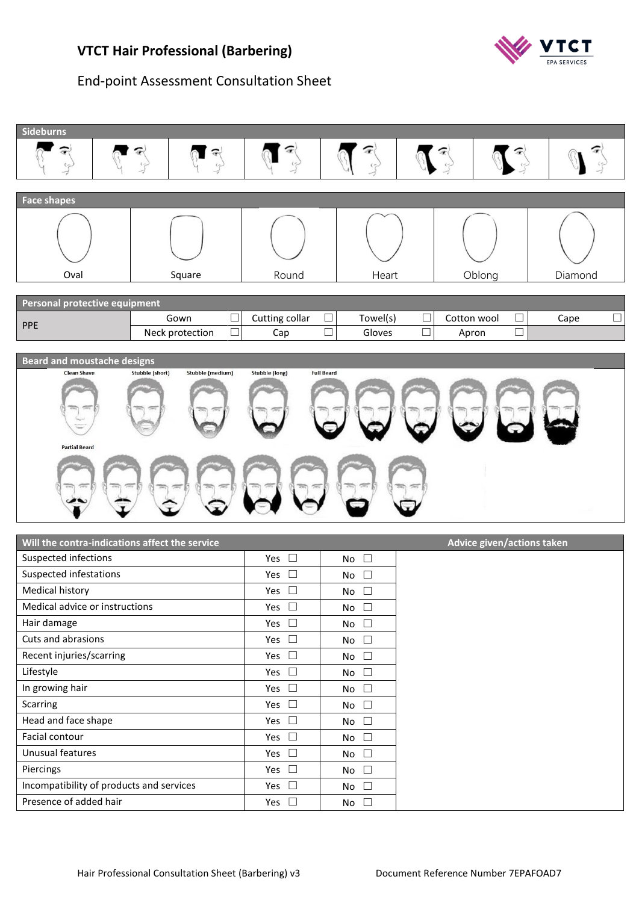#### **VTCT Hair Professional (Barbering)**



#### End-point Assessment Consultation Sheet



| Will the contra-indications affect the service |               |              | Advice given/actions taken |
|------------------------------------------------|---------------|--------------|----------------------------|
| Suspected infections                           | Yes $\square$ | No $\square$ |                            |
| Suspected infestations                         | Yes $\square$ | No $\square$ |                            |
| Medical history                                | Yes $\square$ | No $\square$ |                            |
| Medical advice or instructions                 | Yes $\square$ | No $\square$ |                            |
| Hair damage                                    | Yes $\square$ | No $\square$ |                            |
| Cuts and abrasions                             | Yes $\square$ | No $\square$ |                            |
| Recent injuries/scarring                       | Yes $\square$ | No $\square$ |                            |
| Lifestyle                                      | Yes $\square$ | No $\square$ |                            |
| In growing hair                                | Yes $\square$ | No $\square$ |                            |
| <b>Scarring</b>                                | Yes $\square$ | No $\square$ |                            |
| Head and face shape                            | Yes $\square$ | No $\square$ |                            |
| Facial contour                                 | Yes $\square$ | No $\square$ |                            |
| Unusual features                               | Yes $\square$ | No $\square$ |                            |
| Piercings                                      | Yes $\square$ | No $\square$ |                            |
| Incompatibility of products and services       | Yes $\Box$    | No $\square$ |                            |
| Presence of added hair                         | Yes $\square$ | No $\square$ |                            |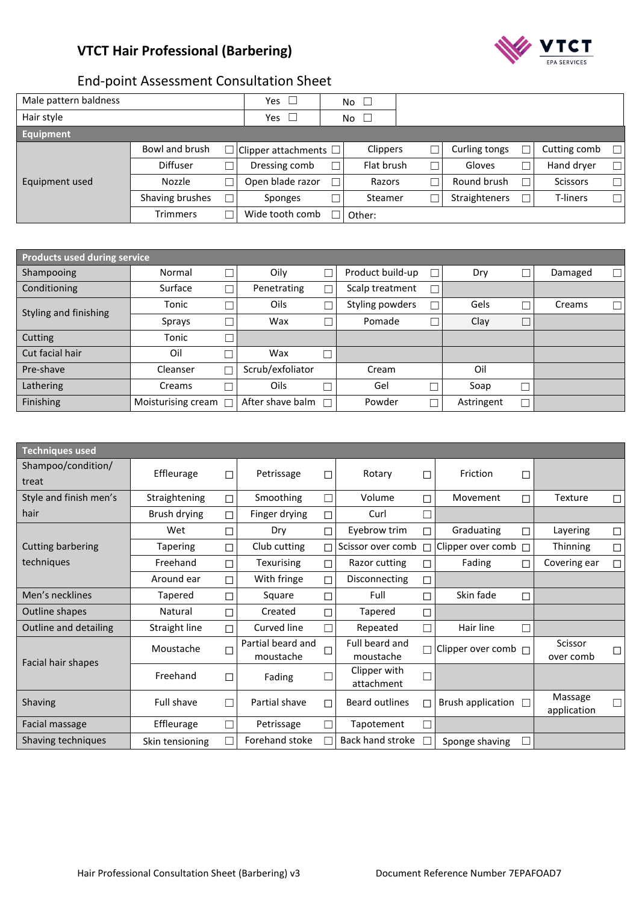# **VTCT Hair Professional (Barbering)**



# End-point Assessment Consultation Sheet

| Male pattern baldness |                 |        | Yes $\Box$                        | No $\square$    |               |                 |        |
|-----------------------|-----------------|--------|-----------------------------------|-----------------|---------------|-----------------|--------|
| Hair style            |                 |        | Yes $\Box$                        | No<br>$\perp$   |               |                 |        |
| <b>Equipment</b>      |                 |        |                                   |                 |               |                 |        |
|                       | Bowl and brush  |        | $\Box$ Clipper attachments $\Box$ | <b>Clippers</b> | Curling tongs | Cutting comb    | $\Box$ |
|                       | <b>Diffuser</b> |        | Dressing comb                     | Flat brush      | Gloves        | Hand dryer      | $\Box$ |
| Equipment used        | <b>Nozzle</b>   | ┓      | Open blade razor                  | Razors          | Round brush   | <b>Scissors</b> | $\Box$ |
|                       | Shaving brushes | $\Box$ | Sponges                           | Steamer         | Straighteners | T-liners        | $\Box$ |
|                       | <b>Trimmers</b> | ┑      | Wide tooth comb                   | Other:          |               |                 |        |

| Products used during service |                              |   |                  |   |                  |            |         |   |
|------------------------------|------------------------------|---|------------------|---|------------------|------------|---------|---|
| Shampooing                   | Normal                       |   | Oily             |   | Product build-up | Dry        | Damaged | П |
| Conditioning                 | Surface                      |   | Penetrating      | П | Scalp treatment  |            |         |   |
| Styling and finishing        | Tonic                        |   | Oils             |   | Styling powders  | Gels       | Creams  |   |
|                              | Sprays                       |   | Wax              |   | Pomade           | Clay       |         |   |
| Cutting                      | Tonic                        |   |                  |   |                  |            |         |   |
| Cut facial hair              | Oil                          |   | Wax              |   |                  |            |         |   |
| Pre-shave                    | Cleanser                     |   | Scrub/exfoliator |   | Cream            | Oil        |         |   |
| Lathering                    | Creams                       | □ | Oils             |   | Gel              | Soap       |         |   |
| Finishing                    | Moisturising cream $\square$ |   | After shave balm |   | Powder           | Astringent |         |   |

| <b>Techniques used</b>      |                   |   |                                |        |                             |        |                          |        |                                  |
|-----------------------------|-------------------|---|--------------------------------|--------|-----------------------------|--------|--------------------------|--------|----------------------------------|
| Shampoo/condition/<br>treat | Effleurage        | □ | Petrissage                     | □      | Rotary                      | П      | Friction                 | □      |                                  |
| Style and finish men's      | Straightening     | □ | Smoothing                      | П      | Volume                      | П      | Movement                 | □      | Texture<br>$\Box$                |
| hair                        | Brush drying      | П | Finger drying                  | П      | Curl                        |        |                          |        |                                  |
|                             | Wet               | П | Dry                            | П      | Eyebrow trim                |        | Graduating               | ┑      | Layering<br>$\Box$               |
| Cutting barbering           | <b>Tapering</b>   | П | Club cutting                   | П      | Scissor over comb           |        | Clipper over comb        | $\Box$ | Thinning<br>$\Box$               |
| techniques                  | Freehand          | П | Texurising                     | П      | Razor cutting               | П      | Fading                   | П      | Covering ear<br>П                |
|                             | Around ear        | П | With fringe                    | П      | Disconnecting               | ◘      |                          |        |                                  |
| Men's necklines             | Tapered           | □ | Square                         | П      | Full                        | □      | Skin fade                | □      |                                  |
| Outline shapes              | Natural           |   | Created                        | П      | Tapered                     | $\Box$ |                          |        |                                  |
| Outline and detailing       | Straight line     | П | Curved line                    | П      | Repeated                    |        | Hair line                | П      |                                  |
| Facial hair shapes          | Moustache         | П | Partial beard and<br>moustache | $\Box$ | Full beard and<br>moustache |        | Clipper over comb $\Box$ |        | Scissor<br>□<br>over comb        |
|                             | Freehand          | □ | Fading                         | П      | Clipper with<br>attachment  |        |                          |        |                                  |
| Shaving                     | <b>Full shave</b> |   | Partial shave                  | П      | Beard outlines              | П      | Brush application □      |        | Massage<br>$\Box$<br>application |
| <b>Facial massage</b>       | Effleurage        |   | Petrissage                     | П      | Tapotement                  |        |                          |        |                                  |
| Shaving techniques          | Skin tensioning   |   | Forehand stoke                 | П      | <b>Back hand stroke</b>     |        | Sponge shaving           | П      |                                  |